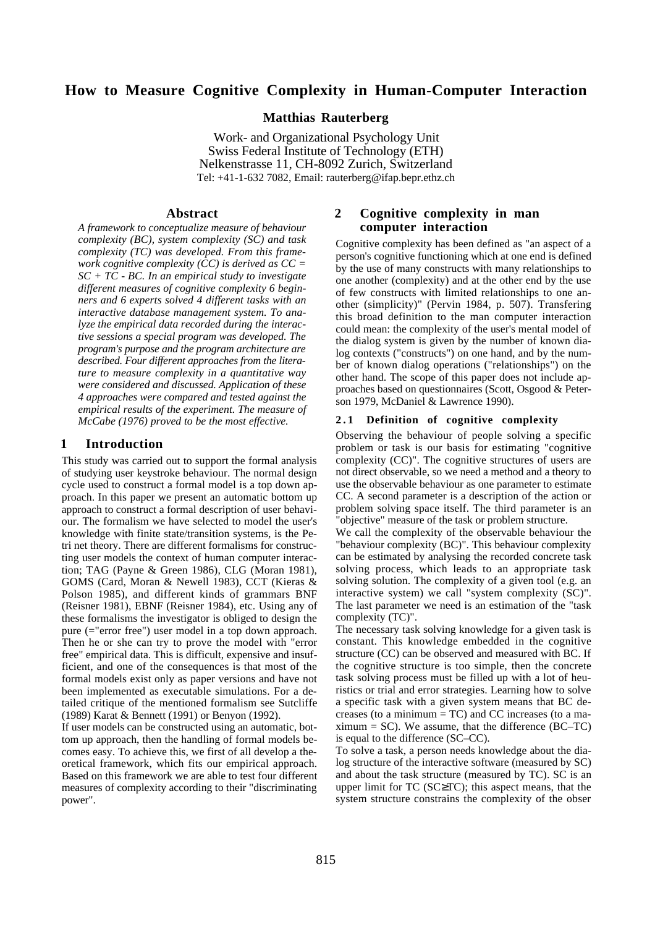#### **How to Measure Cognitive Complexity in Human-Computer Interaction**

**Matthias Rauterberg**

Work- and Organizational Psychology Unit Swiss Federal Institute of Technology (ETH) Nelkenstrasse 11, CH-8092 Zurich, Switzerland Tel: +41-1-632 7082, Email: rauterberg@ifap.bepr.ethz.ch

#### **Abstract**

*A framework to conceptualize measure of behaviour complexity (BC), system complexity (SC) and task complexity (TC) was developed. From this framework cognitive complexity (CC) is derived as CC = SC + TC - BC. In an empirical study to investigate different measures of cognitive complexity 6 beginners and 6 experts solved 4 different tasks with an interactive database management system. To analyze the empirical data recorded during the interactive sessions a special program was developed. The program's purpose and the program architecture are described. Four different approaches from the literature to measure complexity in a quantitative way were considered and discussed. Application of these 4 approaches were compared and tested against the empirical results of the experiment. The measure of McCabe (1976) proved to be the most effective.*

#### **1 Introduction**

This study was carried out to support the formal analysis of studying user keystroke behaviour. The normal design cycle used to construct a formal model is a top down approach. In this paper we present an automatic bottom up approach to construct a formal description of user behaviour. The formalism we have selected to model the user's knowledge with finite state/transition systems, is the Petri net theory. There are different formalisms for constructing user models the context of human computer interaction; TAG (Payne & Green 1986), CLG (Moran 1981), GOMS (Card, Moran & Newell 1983), CCT (Kieras & Polson 1985), and different kinds of grammars BNF (Reisner 1981), EBNF (Reisner 1984), etc. Using any of these formalisms the investigator is obliged to design the pure (="error free") user model in a top down approach. Then he or she can try to prove the model with "error free" empirical data. This is difficult, expensive and insufficient, and one of the consequences is that most of the formal models exist only as paper versions and have not been implemented as executable simulations. For a detailed critique of the mentioned formalism see Sutcliffe (1989) Karat & Bennett (1991) or Benyon (1992).

If user models can be constructed using an automatic, bottom up approach, then the handling of formal models becomes easy. To achieve this, we first of all develop a theoretical framework, which fits our empirical approach. Based on this framework we are able to test four different measures of complexity according to their "discriminating power".

#### **2 Cognitive complexity in man computer interaction**

Cognitive complexity has been defined as "an aspect of a person's cognitive functioning which at one end is defined by the use of many constructs with many relationships to one another (complexity) and at the other end by the use of few constructs with limited relationships to one another (simplicity)" (Pervin 1984, p. 507). Transfering this broad definition to the man computer interaction could mean: the complexity of the user's mental model of the dialog system is given by the number of known dialog contexts ("constructs") on one hand, and by the number of known dialog operations ("relationships") on the other hand. The scope of this paper does not include approaches based on questionnaires (Scott, Osgood & Peterson 1979, McDaniel & Lawrence 1990).

#### **2 . 1 Definition of cognitive complexity**

Observing the behaviour of people solving a specific problem or task is our basis for estimating "cognitive complexity (CC)". The cognitive structures of users are not direct observable, so we need a method and a theory to use the observable behaviour as one parameter to estimate CC. A second parameter is a description of the action or problem solving space itself. The third parameter is an "objective" measure of the task or problem structure.

We call the complexity of the observable behaviour the "behaviour complexity (BC)". This behaviour complexity can be estimated by analysing the recorded concrete task solving process, which leads to an appropriate task solving solution. The complexity of a given tool (e.g. an interactive system) we call "system complexity (SC)". The last parameter we need is an estimation of the "task complexity (TC)".

The necessary task solving knowledge for a given task is constant. This knowledge embedded in the cognitive structure (CC) can be observed and measured with BC. If the cognitive structure is too simple, then the concrete task solving process must be filled up with a lot of heuristics or trial and error strategies. Learning how to solve a specific task with a given system means that BC decreases (to a minimum  $= TC$ ) and  $CC$  increases (to a ma $ximum = SC$ ). We assume, that the difference (BC–TC) is equal to the difference (SC–CC).

To solve a task, a person needs knowledge about the dialog structure of the interactive software (measured by SC) and about the task structure (measured by TC). SC is an upper limit for TC (SC≥TC); this aspect means, that the system structure constrains the complexity of the obser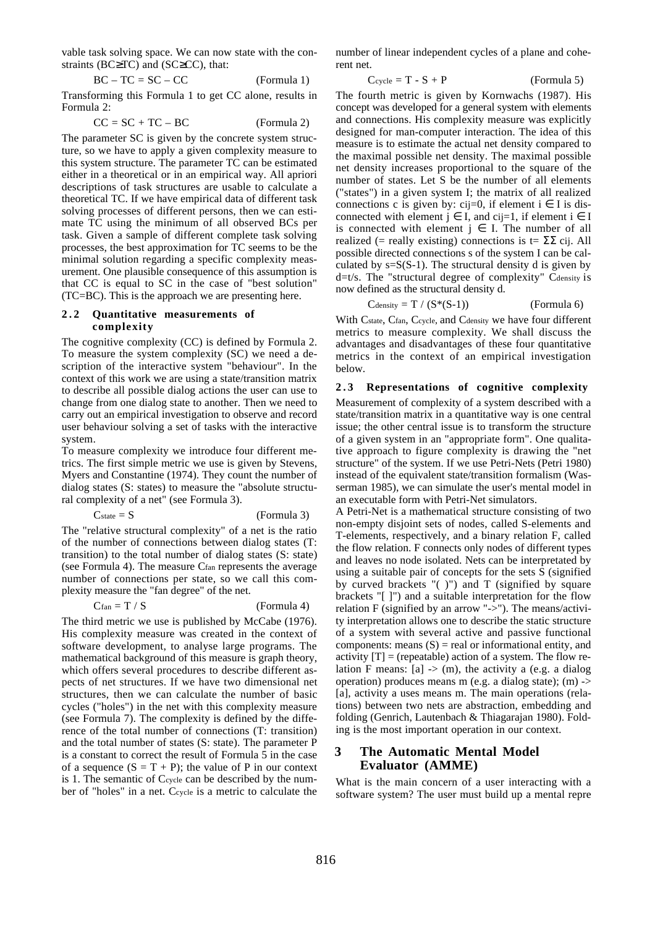vable task solving space. We can now state with the constraints (BC≥TC) and (SC≥CC), that:

$$
BC - TC = SC - CC
$$
 (Formula 1)

Transforming this Formula 1 to get CC alone, results in Formula 2:

$$
CC = SC + TC - BC
$$
 (Formula 2)

The parameter SC is given by the concrete system structure, so we have to apply a given complexity measure to this system structure. The parameter TC can be estimated either in a theoretical or in an empirical way. All apriori descriptions of task structures are usable to calculate a theoretical TC. If we have empirical data of different task solving processes of different persons, then we can estimate TC using the minimum of all observed BCs per task. Given a sample of different complete task solving processes, the best approximation for TC seems to be the minimal solution regarding a specific complexity measurement. One plausible consequence of this assumption is that CC is equal to SC in the case of "best solution" (TC=BC). This is the approach we are presenting here.

#### **2 . 2 Quantitative measurements of complexity**

The cognitive complexity (CC) is defined by Formula 2. To measure the system complexity (SC) we need a description of the interactive system "behaviour". In the context of this work we are using a state/transition matrix to describe all possible dialog actions the user can use to change from one dialog state to another. Then we need to carry out an empirical investigation to observe and record user behaviour solving a set of tasks with the interactive system.

To measure complexity we introduce four different metrics. The first simple metric we use is given by Stevens, Myers and Constantine (1974). They count the number of dialog states (S: states) to measure the "absolute structural complexity of a net" (see Formula 3).

$$
C_{state} = S
$$
 (Formula 3)

The "relative structural complexity" of a net is the ratio of the number of connections between dialog states (T: transition) to the total number of dialog states (S: state) (see Formula 4). The measure Cfan represents the average number of connections per state, so we call this complexity measure the "fan degree" of the net.

 $C$ fan = T / S (Formula 4)

The third metric we use is published by McCabe (1976). His complexity measure was created in the context of software development, to analyse large programs. The mathematical background of this measure is graph theory, which offers several procedures to describe different aspects of net structures. If we have two dimensional net structures, then we can calculate the number of basic cycles ("holes") in the net with this complexity measure (see Formula 7). The complexity is defined by the difference of the total number of connections (T: transition) and the total number of states (S: state). The parameter P is a constant to correct the result of Formula 5 in the case of a sequence  $(S = T + P)$ ; the value of P in our context is 1. The semantic of Ccycle can be described by the number of "holes" in a net. Ccycle is a metric to calculate the

number of linear independent cycles of a plane and coherent net.

$$
C_{\text{cycle}} = T - S + P \tag{Formula 5}
$$

The fourth metric is given by Kornwachs (1987). His concept was developed for a general system with elements and connections. His complexity measure was explicitly designed for man-computer interaction. The idea of this measure is to estimate the actual net density compared to the maximal possible net density. The maximal possible net density increases proportional to the square of the number of states. Let S be the number of all elements ("states") in a given system I; the matrix of all realized connections c is given by: cij=0, if element  $i \in I$  is disconnected with element  $j \in I$ , and cij=1, if element  $i \in I$ is connected with element  $j \in I$ . The number of all realized (= really existing) connections is  $t = \sum \overline{c}$  cij. All possible directed connections s of the system I can be calculated by  $s=S(S-1)$ . The structural density d is given by  $d=t/s$ . The "structural degree of complexity" C $d$ ensity is now defined as the structural density d.

$$
C_{density} = T / (S*(S-1))
$$
 (Formula 6)

With Cstate, Cfan, Ccycle, and Cdensity we have four different metrics to measure complexity. We shall discuss the advantages and disadvantages of these four quantitative metrics in the context of an empirical investigation below.

#### **2 . 3 Representations of cognitive complexity**

Measurement of complexity of a system described with a state/transition matrix in a quantitative way is one central issue; the other central issue is to transform the structure of a given system in an "appropriate form". One qualitative approach to figure complexity is drawing the "net structure" of the system. If we use Petri-Nets (Petri 1980) instead of the equivalent state/transition formalism (Wasserman 1985), we can simulate the user's mental model in an executable form with Petri-Net simulators.

A Petri-Net is a mathematical structure consisting of two non-empty disjoint sets of nodes, called S-elements and T-elements, respectively, and a binary relation F, called the flow relation. F connects only nodes of different types and leaves no node isolated. Nets can be interpretated by using a suitable pair of concepts for the sets S (signified by curved brackets "( )") and T (signified by square brackets "[ ]") and a suitable interpretation for the flow relation F (signified by an arrow "->"). The means/activity interpretation allows one to describe the static structure of a system with several active and passive functional components: means  $(S)$  = real or informational entity, and activity  $[T] =$  (repeatable) action of a system. The flow relation F means:  $[a] \rightarrow (m)$ , the activity a (e.g. a dialog operation) produces means m (e.g. a dialog state); (m) -> [a], activity a uses means m. The main operations (relations) between two nets are abstraction, embedding and folding (Genrich, Lautenbach & Thiagarajan 1980). Folding is the most important operation in our context.

#### **3 The Automatic Mental Model Evaluator (AMME)**

What is the main concern of a user interacting with a software system? The user must build up a mental repre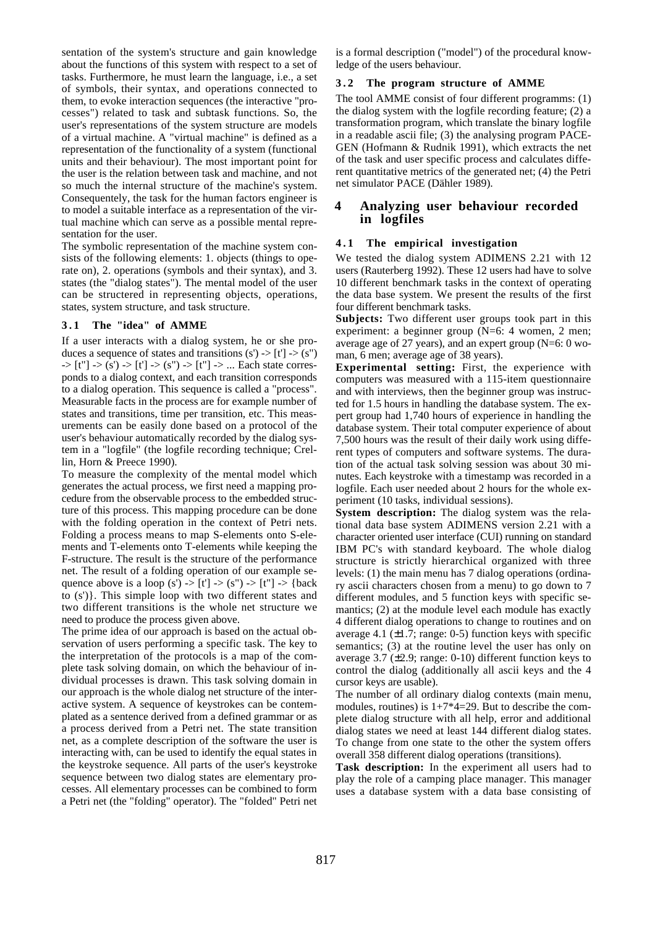sentation of the system's structure and gain knowledge about the functions of this system with respect to a set of tasks. Furthermore, he must learn the language, i.e., a set of symbols, their syntax, and operations connected to them, to evoke interaction sequences (the interactive "processes") related to task and subtask functions. So, the user's representations of the system structure are models of a virtual machine. A "virtual machine" is defined as a representation of the functionality of a system (functional units and their behaviour). The most important point for the user is the relation between task and machine, and not so much the internal structure of the machine's system. Consequentely, the task for the human factors engineer is to model a suitable interface as a representation of the virtual machine which can serve as a possible mental representation for the user.

The symbolic representation of the machine system consists of the following elements: 1. objects (things to operate on), 2. operations (symbols and their syntax), and 3. states (the "dialog states"). The mental model of the user can be structered in representing objects, operations, states, system structure, and task structure.

#### **3 . 1 The "idea" of AMME**

If a user interacts with a dialog system, he or she produces a sequence of states and transitions  $(s') \rightarrow [t'] \rightarrow (s'')$  $\Rightarrow$  [t"] -> (s') -> [t'] -> (s'') -> [t''] -> ... Each state corresponds to a dialog context, and each transition corresponds to a dialog operation. This sequence is called a "process". Measurable facts in the process are for example number of states and transitions, time per transition, etc. This measurements can be easily done based on a protocol of the user's behaviour automatically recorded by the dialog system in a "logfile" (the logfile recording technique; Crellin, Horn & Preece 1990).

To measure the complexity of the mental model which generates the actual process, we first need a mapping procedure from the observable process to the embedded structure of this process. This mapping procedure can be done with the folding operation in the context of Petri nets. Folding a process means to map S-elements onto S-elements and T-elements onto T-elements while keeping the F-structure. The result is the structure of the performance net. The result of a folding operation of our example sequence above is a loop (s')  $\rightarrow$  [t']  $\rightarrow$  (s'')  $\rightarrow$  [t'']  $\rightarrow$  {back] to (s')}. This simple loop with two different states and two different transitions is the whole net structure we need to produce the process given above.

The prime idea of our approach is based on the actual observation of users performing a specific task. The key to the interpretation of the protocols is a map of the complete task solving domain, on which the behaviour of individual processes is drawn. This task solving domain in our approach is the whole dialog net structure of the interactive system. A sequence of keystrokes can be contemplated as a sentence derived from a defined grammar or as a process derived from a Petri net. The state transition net, as a complete description of the software the user is interacting with, can be used to identify the equal states in the keystroke sequence. All parts of the user's keystroke sequence between two dialog states are elementary processes. All elementary processes can be combined to form a Petri net (the "folding" operator). The "folded" Petri net is a formal description ("model") of the procedural knowledge of the users behaviour.

#### **3 . 2 The program structure of AMME**

The tool AMME consist of four different programms: (1) the dialog system with the logfile recording feature; (2) a transformation program, which translate the binary logfile in a readable ascii file; (3) the analysing program PACE-GEN (Hofmann & Rudnik 1991), which extracts the net of the task and user specific process and calculates different quantitative metrics of the generated net; (4) the Petri net simulator PACE (Dähler 1989).

#### **4 Analyzing user behaviour recorded in logfiles**

#### **4 . 1 The empirical investigation**

We tested the dialog system ADIMENS 2.21 with 12 users (Rauterberg 1992). These 12 users had have to solve 10 different benchmark tasks in the context of operating the data base system. We present the results of the first four different benchmark tasks.

**Subjects:** Two different user groups took part in this experiment: a beginner group (N=6: 4 women, 2 men; average age of 27 years), and an expert group (N=6: 0 woman, 6 men; average age of 38 years).

**Experimental setting:** First, the experience with computers was measured with a 115-item questionnaire and with interviews, then the beginner group was instructed for 1.5 hours in handling the database system. The expert group had 1,740 hours of experience in handling the database system. Their total computer experience of about 7,500 hours was the result of their daily work using different types of computers and software systems. The duration of the actual task solving session was about 30 minutes. Each keystroke with a timestamp was recorded in a logfile. Each user needed about 2 hours for the whole experiment (10 tasks, individual sessions).

**System description:** The dialog system was the relational data base system ADIMENS version 2.21 with a character oriented user interface (CUI) running on standard IBM PC's with standard keyboard. The whole dialog structure is strictly hierarchical organized with three levels: (1) the main menu has 7 dialog operations (ordinary ascii characters chosen from a menu) to go down to 7 different modules, and 5 function keys with specific semantics; (2) at the module level each module has exactly 4 different dialog operations to change to routines and on average 4.1  $(\pm 1.7; \text{range: } 0.5)$  function keys with specific semantics; (3) at the routine level the user has only on average 3.7 ( $\pm$ 2.9; range: 0-10) different function keys to control the dialog (additionally all ascii keys and the 4 cursor keys are usable).

The number of all ordinary dialog contexts (main menu, modules, routines) is  $1+7*4=29$ . But to describe the complete dialog structure with all help, error and additional dialog states we need at least 144 different dialog states. To change from one state to the other the system offers overall 358 different dialog operations (transitions).

**Task description:** In the experiment all users had to play the role of a camping place manager. This manager uses a database system with a data base consisting of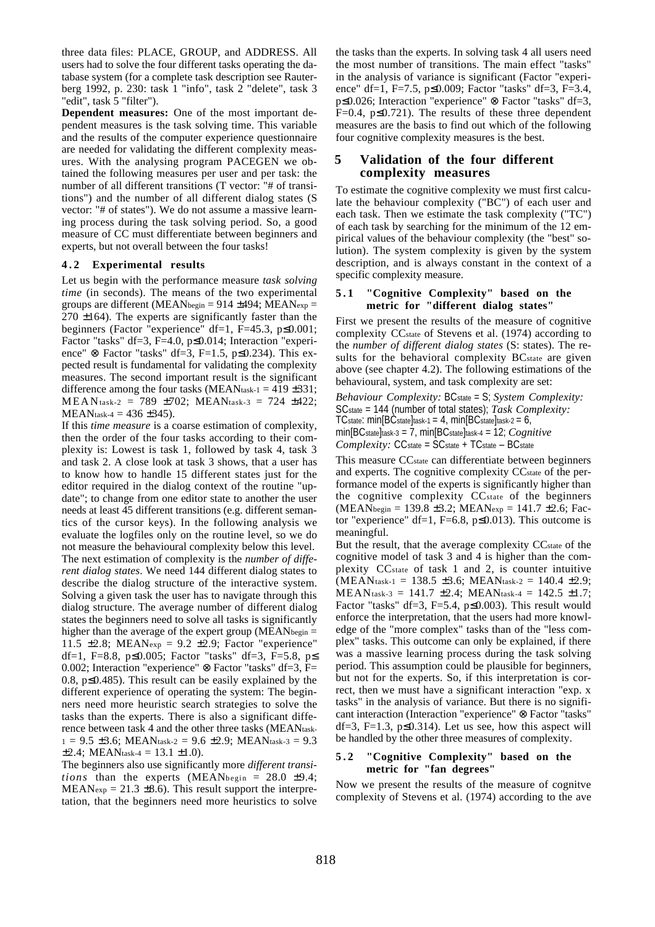three data files: PLACE, GROUP, and ADDRESS. All users had to solve the four different tasks operating the database system (for a complete task description see Rauterberg 1992, p. 230: task 1 "info", task 2 "delete", task 3 "edit", task 5 "filter").

**Dependent measures:** One of the most important dependent measures is the task solving time. This variable and the results of the computer experience questionnaire are needed for validating the different complexity measures. With the analysing program PACEGEN we obtained the following measures per user and per task: the number of all different transitions (T vector: "# of transitions") and the number of all different dialog states (S vector: "# of states"). We do not assume a massive learning process during the task solving period. So, a good measure of CC must differentiate between beginners and experts, but not overall between the four tasks!

#### **4 . 2 Experimental results**

Let us begin with the performance measure *task solving time* (in seconds). The means of the two experimental groups are different (MEANbegin =  $914 \pm 494$ ; MEANexp =  $270 \pm 164$ ). The experts are significantly faster than the beginners (Factor "experience" df=1, F=45.3, p≤0.001; Factor "tasks" df=3, F=4.0, p≤0.014; Interaction "experience" ⊗ Factor "tasks" df=3, F=1.5, p≤0.234). This expected result is fundamental for validating the complexity measures. The second important result is the significant difference among the four tasks (MEAN<sub>task-1</sub> = 419  $\pm$ 331; MEANtask-2 = 789 ±702; MEANtask-3 = 724 ±422;  $MEAN$ <sub>task-4</sub> = 436 ±345).

If this *time measure* is a coarse estimation of complexity, then the order of the four tasks according to their complexity is: Lowest is task 1, followed by task 4, task 3 and task 2. A close look at task 3 shows, that a user has to know how to handle 15 different states just for the editor required in the dialog context of the routine "update"; to change from one editor state to another the user needs at least 45 different transitions (e.g. different semantics of the cursor keys). In the following analysis we evaluate the logfiles only on the routine level, so we do not measure the behavioural complexity below this level. The next estimation of complexity is the *number of different dialog states*. We need 144 different dialog states to describe the dialog structure of the interactive system. Solving a given task the user has to navigate through this dialog structure. The average number of different dialog states the beginners need to solve all tasks is significantly higher than the average of the expert group ( $MEAN$ begin = 11.5  $\pm$ 2.8; MEANexp = 9.2  $\pm$ 2.9; Factor "experience" df=1, F=8.8, p $\leq$ 0.005; Factor "tasks" df=3, F=5.8, p $\leq$ 0.002; Interaction "experience" ⊗ Factor "tasks" df=3, F= 0.8, p≤0.485). This result can be easily explained by the different experience of operating the system: The beginners need more heuristic search strategies to solve the tasks than the experts. There is also a significant difference between task 4 and the other three tasks (MEANtask- $1 = 9.5 \pm 3.6$ ; MEANtask-2 = 9.6  $\pm 2.9$ ; MEANtask-3 = 9.3  $\pm 2.4$ ; MEANtask-4 = 13.1  $\pm 1.0$ ).

The beginners also use significantly more *different transitions* than the experts (MEANbegin = 28.0 ±9.4;  $MEAN_{exp} = 21.3 \pm 8.6$ . This result support the interpretation, that the beginners need more heuristics to solve

the tasks than the experts. In solving task 4 all users need the most number of transitions. The main effect "tasks" in the analysis of variance is significant (Factor "experience" df=1, F=7.5, p≤0.009; Factor "tasks" df=3, F=3.4, p≤0.026; Interaction "experience" ⊗ Factor "tasks" df=3, F=0.4,  $p \le 0.721$ ). The results of these three dependent measures are the basis to find out which of the following four cognitive complexity measures is the best.

#### **5 Validation of the four different complexity measures**

To estimate the cognitive complexity we must first calculate the behaviour complexity ("BC") of each user and each task. Then we estimate the task complexity ("TC") of each task by searching for the minimum of the 12 empirical values of the behaviour complexity (the "best" solution). The system complexity is given by the system description, and is always constant in the context of a specific complexity measure.

#### **5 . 1 "Cognitive Complexity" based on the metric for "different dialog states"**

First we present the results of the measure of cognitive complexity CCstate of Stevens et al. (1974) according to the *number of different dialog states* (S: states). The results for the behavioral complexity BC<sub>state</sub> are given above (see chapter 4.2). The following estimations of the behavioural, system, and task complexity are set:

*Behaviour Complexity:* BCstate = S; *System Complexity:* SCstate = 144 (number of total states); *Task Complexity:* TCstate: min[BCstate]task-1 = 4, min[BCstate]task-2 =  $6$ , min[BCstate]task-3 = 7, min[BCstate]task-4 = 12; *Cognitive Complexity:* CCstate = SCstate + TCstate – BCstate

This measure CCstate can differentiate between beginners and experts. The cognitive complexity CC<sub>state</sub> of the performance model of the experts is significantly higher than the cognitive complexity CCstate of the beginners  $(MEAN$ begin = 139.8 ±3.2; MEANexp = 141.7 ±2.6; Factor "experience" df=1, F=6.8,  $p \le 0.013$ ). This outcome is meaningful.

But the result, that the average complexity CC<sub>state</sub> of the cognitive model of task 3 and 4 is higher than the complexity CCstate of task 1 and 2, is counter intuitive  $(MEAN$ task-1 = 138.5 ±3.6; MEANtask-2 = 140.4 ±2.9;  $MEAN$ task-3 = 141.7  $\pm$ 2.4; MEANtask-4 = 142.5  $\pm$ 1.7; Factor "tasks" df=3, F=5.4, p $\leq$ 0.003). This result would enforce the interpretation, that the users had more knowledge of the "more complex" tasks than of the "less complex" tasks. This outcome can only be explained, if there was a massive learning process during the task solving period. This assumption could be plausible for beginners, but not for the experts. So, if this interpretation is correct, then we must have a significant interaction "exp. x tasks" in the analysis of variance. But there is no significant interaction (Interaction "experience" ⊗ Factor "tasks" df=3, F=1.3,  $p\leq 0.314$ ). Let us see, how this aspect will be handled by the other three measures of complexity.

#### **5 . 2 "Cognitive Complexity" based on the metric for "fan degrees"**

Now we present the results of the measure of cognitve complexity of Stevens et al. (1974) according to the ave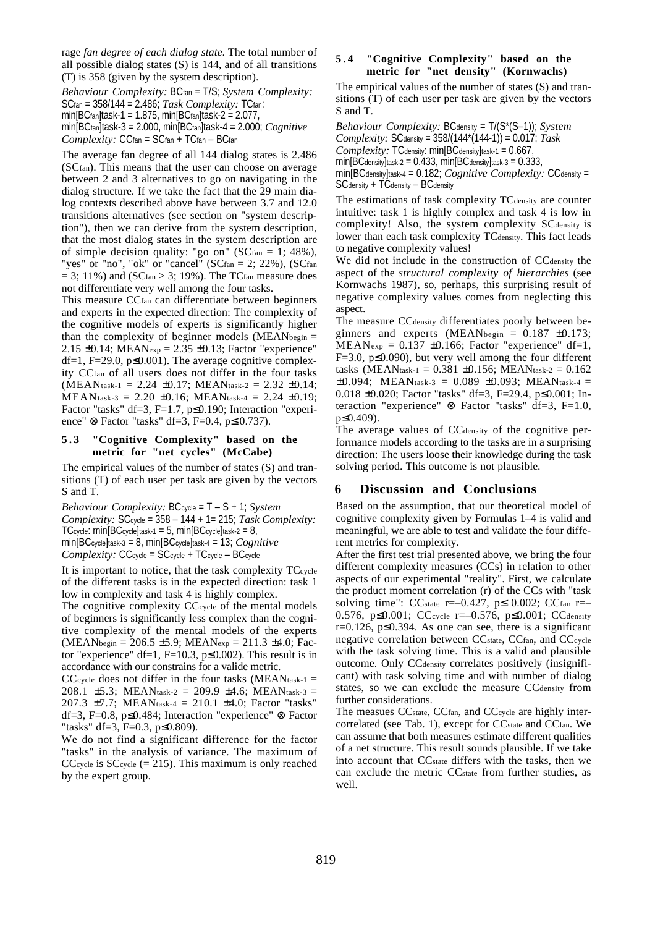rage *fan degree of each dialog state*. The total number of all possible dialog states (S) is 144, and of all transitions (T) is 358 (given by the system description).

*Behaviour Complexity:* BCfan = T/S; *System Complexity:* SCfan = 358/144 = 2.486; *Task Complexity:* TCfan: min $[BC<sub>fan</sub>]$ task-1 = 1.875, min $[BC<sub>fan</sub>]$ task-2 = 2.077, min[BCfan]task-3 = 2.000, min[BCfan]task-4 = 2.000; *Cognitive Complexity:* CCfan = SCfan + TCfan – BCfan

The average fan degree of all 144 dialog states is 2.486 (SCfan). This means that the user can choose on average between 2 and 3 alternatives to go on navigating in the dialog structure. If we take the fact that the 29 main dialog contexts described above have between 3.7 and 12.0 transitions alternatives (see section on "system description"), then we can derive from the system description, that the most dialog states in the system description are of simple decision quality: "go on" ( $SCfan = 1$ ; 48%), "yes" or "no", "ok" or "cancel"  $(SC<sub>fan</sub> = 2; 22%)$ ,  $(SC<sub>fan</sub>$  $= 3$ ; 11%) and (SCfan > 3; 19%). The TCfan measure does not differentiate very well among the four tasks.

This measure CCfan can differentiate between beginners and experts in the expected direction: The complexity of the cognitive models of experts is significantly higher than the complexity of beginner models ( $MEAN$ begin = 2.15  $\pm$ 0.14; MEANex<sub>p</sub> = 2.35  $\pm$ 0.13; Factor "experience" df=1, F=29.0,  $p \le 0.001$ ). The average cognitive complexity CCfan of all users does not differ in the four tasks  $(MEAN$ task-1 = 2.24  $\pm$ 0.17; MEANtask-2 = 2.32  $\pm$ 0.14;  $MEAN$ task-3 = 2.20  $\pm$ 0.16; MEANtask-4 = 2.24  $\pm$ 0.19; Factor "tasks" df=3, F=1.7, p≤0.190; Interaction "experience" ⊗ Factor "tasks" df=3, F=0.4, p≤ 0.737).

#### **5 . 3 "Cognitive Complexity" based on the metric for "net cycles" (McCabe)**

The empirical values of the number of states (S) and transitions (T) of each user per task are given by the vectors S and T.

*Behaviour Complexity:* BCcycle = T – S + 1; *System Complexity:* SCcycle = 358 – 144 + 1= 215; *Task Complexity:* TCcycle:  $min[BC_{cycle}]$ task-1 = 5,  $min[BC_{cycle}]$ task-2 = 8, min[BCcycle]task-3 = 8, min[BCcycle]task-4 = 13; *Cognitive Complexity:* CCcycle = SCcycle + TCcycle – BCcycle

It is important to notice, that the task complexity TCcycle of the different tasks is in the expected direction: task 1 low in complexity and task 4 is highly complex.

The cognitive complexity CCcycle of the mental models of beginners is significantly less complex than the cognitive complexity of the mental models of the experts  $(MEAN$ <sub>begin</sub> = 206.5 ±5.9; MEAN<sub>exp</sub> = 211.3 ±4.0; Factor "experience" df=1, F=10.3,  $p\leq 0.002$ ). This result is in accordance with our constrains for a valide metric.

CCcycle does not differ in the four tasks (MEAN $_{\text{task-1}} =$ 208.1  $\pm$ 5.3; MEANtask-2 = 209.9  $\pm$ 4.6; MEANtask-3 = 207.3 ±7.7; MEANtask-4 = 210.1 ±4.0; Factor "tasks" df=3, F=0.8, p≤0.484; Interaction "experience" ⊗ Factor "tasks" df=3, F=0.3, p≤0.809).

We do not find a significant difference for the factor "tasks" in the analysis of variance. The maximum of CCcycle is  $SC$ cycle (= 215). This maximum is only reached by the expert group.

#### **5 . 4 "Cognitive Complexity" based on the metric for "net density" (Kornwachs)**

The empirical values of the number of states (S) and transitions (T) of each user per task are given by the vectors S and T.

*Behaviour Complexity:* BCdensity = T/(S\*(S–1)); *System Complexity:* SCdensity = 358/(144\*(144-1)) = 0.017; *Task Complexity:* TCdensity: min[BCdensity]task-1 = 0.667,  $min[BC_{density}]$ task-2 = 0.433,  $min[BC_{density}]$ task-3 = 0.333,

min[BCdensity]task-4 = 0.182; *Cognitive Complexity:* CCdensity = SCdensity + TCdensity – BCdensity

The estimations of task complexity TC<sub>density</sub> are counter intuitive: task 1 is highly complex and task 4 is low in complexity! Also, the system complexity SCdensity is lower than each task complexity TC<sub>density</sub>. This fact leads to negative complexity values!

We did not include in the construction of CC<sub>density</sub> the aspect of the *structural complexity of hierarchies* (see Kornwachs 1987), so, perhaps, this surprising result of negative complexity values comes from neglecting this aspect.

The measure CC<sub>density</sub> differentiates poorly between beginners and experts (MEANbegin =  $0.187 \pm 0.173$ ;  $MEAN_{exp} = 0.137 \pm 0.166$ ; Factor "experience" df=1,  $F=3.0$ ,  $p\leq 0.090$ , but very well among the four different tasks (MEAN<sub>task-1</sub> = 0.381  $\pm$ 0.156; MEAN<sub>task-2</sub> = 0.162  $\pm 0.094$ ; MEANtask-3 = 0.089  $\pm 0.093$ ; MEANtask-4 = 0.018 ±0.020; Factor "tasks" df=3, F=29.4, p≤0.001; Interaction "experience" ⊗ Factor "tasks" df=3, F=1.0, p≤0.409).

The average values of CC<sub>density</sub> of the cognitive performance models according to the tasks are in a surprising direction: The users loose their knowledge during the task solving period. This outcome is not plausible.

#### **6 Discussion and Conclusions**

Based on the assumption, that our theoretical model of cognitive complexity given by Formulas 1–4 is valid and meaningful, we are able to test and validate the four different metrics for complexity.

After the first test trial presented above, we bring the four different complexity measures (CCs) in relation to other aspects of our experimental "reality". First, we calculate the product moment correlation (r) of the CCs with "task solving time": CC<sub>state</sub> r=-0.427, p 
solving time": CC<sub>state</sub> r=-0.576, p≤0.001; CCcycle r=–0.576, p≤0.001; CCdensity r=0.126,  $p \le 0.394$ . As one can see, there is a significant negative correlation between CC<sub>state</sub>, CC<sub>fan</sub>, and CC<sub>cycle</sub> with the task solving time. This is a valid and plausible outcome. Only CC<sub>density</sub> correlates positively (insignificant) with task solving time and with number of dialog states, so we can exclude the measure CC<sub>density</sub> from further considerations.

The measues CC<sub>state</sub>, CC<sub>fan</sub>, and CC<sub>cycle</sub> are highly intercorrelated (see Tab. 1), except for CC<sub>state</sub> and CC<sub>fan</sub>. We can assume that both measures estimate different qualities of a net structure. This result sounds plausible. If we take into account that CC<sub>state</sub> differs with the tasks, then we can exclude the metric CCstate from further studies, as well.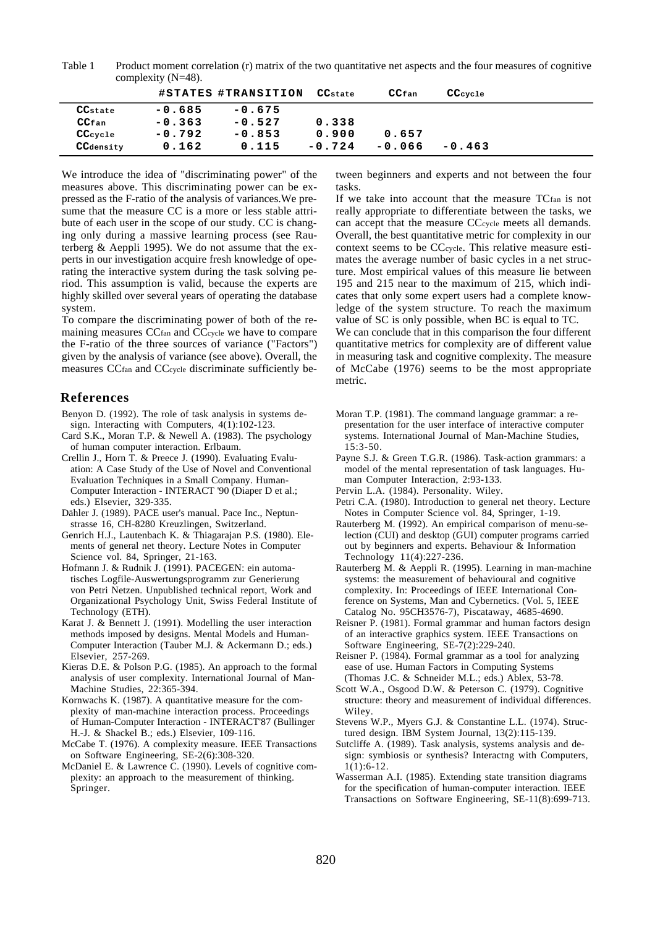Table 1 Product moment correlation (r) matrix of the two quantitative net aspects and the four measures of cognitive complexity (N=48).

|                     |          | #STATES #TRANSITION | CC <sub>state</sub> | CC <sub>fan</sub> | CCcycle  |  |
|---------------------|----------|---------------------|---------------------|-------------------|----------|--|
| CC <sub>state</sub> | $-0.685$ | $-0.675$            |                     |                   |          |  |
| CC <sub>fan</sub>   | $-0.363$ | $-0.527$            | 0.338               |                   |          |  |
| CC <sub>cycle</sub> | $-0.792$ | $-0.853$            | 0.900               | 0.657             |          |  |
| CCdensity           | 0.162    | 0.115               | $-0.724$            | $-0.066$          | $-0.463$ |  |

We introduce the idea of "discriminating power" of the measures above. This discriminating power can be expressed as the F-ratio of the analysis of variances.We presume that the measure CC is a more or less stable attribute of each user in the scope of our study. CC is changing only during a massive learning process (see Rauterberg & Aeppli 1995). We do not assume that the experts in our investigation acquire fresh knowledge of operating the interactive system during the task solving period. This assumption is valid, because the experts are highly skilled over several years of operating the database system.

To compare the discriminating power of both of the remaining measures CCfan and CCcycle we have to compare the F-ratio of the three sources of variance ("Factors") given by the analysis of variance (see above). Overall, the measures CCfan and CCcycle discriminate sufficiently be-

#### **References**

- Benyon D. (1992). The role of task analysis in systems design. Interacting with Computers, 4(1):102-123.
- Card S.K., Moran T.P. & Newell A. (1983). The psychology of human computer interaction. Erlbaum.
- Crellin J., Horn T. & Preece J. (1990). Evaluating Evaluation: A Case Study of the Use of Novel and Conventional Evaluation Techniques in a Small Company. Human-Computer Interaction - INTERACT '90 (Diaper D et al.; eds.) Elsevier, 329-335.
- Dähler J. (1989). PACE user's manual. Pace Inc., Neptunstrasse 16, CH-8280 Kreuzlingen, Switzerland.
- Genrich H.J., Lautenbach K. & Thiagarajan P.S. (1980). Elements of general net theory. Lecture Notes in Computer Science vol. 84, Springer, 21-163.
- Hofmann J. & Rudnik J. (1991). PACEGEN: ein automatisches Logfile-Auswertungsprogramm zur Generierung von Petri Netzen. Unpublished technical report, Work and Organizational Psychology Unit, Swiss Federal Institute of Technology (ETH).
- Karat J. & Bennett J. (1991). Modelling the user interaction methods imposed by designs. Mental Models and Human-Computer Interaction (Tauber M.J. & Ackermann D.; eds.) Elsevier, 257-269.
- Kieras D.E. & Polson P.G. (1985). An approach to the formal analysis of user complexity. International Journal of Man-Machine Studies, 22:365-394.
- Kornwachs K. (1987). A quantitative measure for the complexity of man-machine interaction process. Proceedings of Human-Computer Interaction - INTERACT'87 (Bullinger H.-J. & Shackel B.; eds.) Elsevier, 109-116.
- McCabe T. (1976). A complexity measure. IEEE Transactions on Software Engineering, SE-2(6):308-320.
- McDaniel E. & Lawrence C. (1990). Levels of cognitive complexity: an approach to the measurement of thinking. Springer.

tween beginners and experts and not between the four tasks.

If we take into account that the measure TCfan is not really appropriate to differentiate between the tasks, we can accept that the measure CCcycle meets all demands. Overall, the best quantitative metric for complexity in our context seems to be CCcycle. This relative measure estimates the average number of basic cycles in a net structure. Most empirical values of this measure lie between 195 and 215 near to the maximum of 215, which indicates that only some expert users had a complete knowledge of the system structure. To reach the maximum value of SC is only possible, when BC is equal to TC. We can conclude that in this comparison the four different

quantitative metrics for complexity are of different value in measuring task and cognitive complexity. The measure of McCabe (1976) seems to be the most appropriate metric.

- Moran T.P. (1981). The command language grammar: a representation for the user interface of interactive computer systems. International Journal of Man-Machine Studies, 15:3-50.
- Payne S.J. & Green T.G.R. (1986). Task-action grammars: a model of the mental representation of task languages. Human Computer Interaction, 2:93-133.
- Pervin L.A. (1984). Personality. Wiley.
- Petri C.A. (1980). Introduction to general net theory. Lecture Notes in Computer Science vol. 84, Springer, 1-19.
- Rauterberg M. (1992). An empirical comparison of menu-selection (CUI) and desktop (GUI) computer programs carried out by beginners and experts. Behaviour & Information Technology 11(4):227-236.
- Rauterberg M. & Aeppli R. (1995). Learning in man-machine systems: the measurement of behavioural and cognitive complexity. In: Proceedings of IEEE International Conference on Systems, Man and Cybernetics. (Vol. 5, IEEE Catalog No. 95CH3576-7), Piscataway, 4685-4690.
- Reisner P. (1981). Formal grammar and human factors design of an interactive graphics system. IEEE Transactions on Software Engineering, SE-7(2):229-240.
- Reisner P. (1984). Formal grammar as a tool for analyzing ease of use. Human Factors in Computing Systems (Thomas J.C. & Schneider M.L.; eds.) Ablex, 53-78.
- Scott W.A., Osgood D.W. & Peterson C. (1979). Cognitive structure: theory and measurement of individual differences. Wiley.
- Stevens W.P., Myers G.J. & Constantine L.L. (1974). Structured design. IBM System Journal, 13(2):115-139.
- Sutcliffe A. (1989). Task analysis, systems analysis and design: symbiosis or synthesis? Interactng with Computers, 1(1):6-12.
- Wasserman A.I. (1985). Extending state transition diagrams for the specification of human-computer interaction. IEEE Transactions on Software Engineering, SE-11(8):699-713.